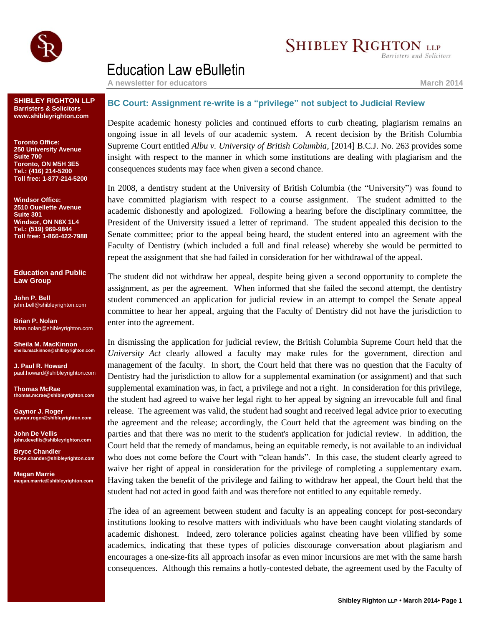

## **SHIBLEY RIGHTON LLP**

**Barristers and Solicitors** 

## Education Law eBulletin

**A newsletter for educators March 2014**

**SHIBLEY RIGHTON LLP Barristers & Solicitors www.shibleyrighton.com**

**Toronto Office: 250 University Avenue Suite 700 Toronto, ON M5H 3E5 Tel.: (416) 214-5200 Toll free: 1-877-214-5200**

**Windsor Office: 2510 Ouellette Avenue Suite 301 Windsor, ON N8X 1L4 Tel.: (519) 969-9844 Toll free: 1-866-422-7988**

**Education and Public Law Group**

**John P. Bell** john.bell@shibleyrighton.com

**Brian P. Nolan** brian.nolan@shibleyrighton.com

**Sheila M. MacKinnon ila.mackinnon@shib** 

**J. Paul R. Howard** paul.howard@shibleyrighton.com

**Thomas McRae thomas.mcrae@shibleyrighton.com**

**Gaynor J. Roger gaynor.roger@shibleyrighton.com**

**John De Vellis john.devellis@shibleyrighton.com**

**Bryce Chandler bryce.chander@shibleyrighton.com**

**Megan Marrie megan.marrie@shibleyrighton.com**

## **BC Court: Assignment re-write is a "privilege" not subject to Judicial Review**

Despite academic honesty policies and continued efforts to curb cheating, plagiarism remains an ongoing issue in all levels of our academic system. A recent decision by the British Columbia Supreme Court entitled *Albu v. University of British Columbia*, [2014] B.C.J. No. 263 provides some insight with respect to the manner in which some institutions are dealing with plagiarism and the consequences students may face when given a second chance.

In 2008, a dentistry student at the University of British Columbia (the "University") was found to have committed plagiarism with respect to a course assignment. The student admitted to the academic dishonestly and apologized. Following a hearing before the disciplinary committee, the President of the University issued a letter of reprimand. The student appealed this decision to the Senate committee; prior to the appeal being heard, the student entered into an agreement with the Faculty of Dentistry (which included a full and final release) whereby she would be permitted to repeat the assignment that she had failed in consideration for her withdrawal of the appeal.

The student did not withdraw her appeal, despite being given a second opportunity to complete the assignment, as per the agreement. When informed that she failed the second attempt, the dentistry student commenced an application for judicial review in an attempt to compel the Senate appeal committee to hear her appeal, arguing that the Faculty of Dentistry did not have the jurisdiction to enter into the agreement.

In dismissing the application for judicial review, the British Columbia Supreme Court held that the *University Act* clearly allowed a faculty may make rules for the government, direction and management of the faculty. In short, the Court held that there was no question that the Faculty of Dentistry had the jurisdiction to allow for a supplemental examination (or assignment) and that such supplemental examination was, in fact, a privilege and not a right. In consideration for this privilege, the student had agreed to waive her legal right to her appeal by signing an irrevocable full and final release. The agreement was valid, the student had sought and received legal advice prior to executing the agreement and the release; accordingly, the Court held that the agreement was binding on the parties and that there was no merit to the student's application for judicial review. In addition, the Court held that the remedy of mandamus, being an equitable remedy, is not available to an individual who does not come before the Court with "clean hands". In this case, the student clearly agreed to waive her right of appeal in consideration for the privilege of completing a supplementary exam. Having taken the benefit of the privilege and failing to withdraw her appeal, the Court held that the student had not acted in good faith and was therefore not entitled to any equitable remedy.

The idea of an agreement between student and faculty is an appealing concept for post-secondary institutions looking to resolve matters with individuals who have been caught violating standards of academic dishonest. Indeed, zero tolerance policies against cheating have been vilified by some academics, indicating that these types of policies discourage conversation about plagiarism and encourages a one-size-fits all approach insofar as even minor incursions are met with the same harsh consequences. Although this remains a hotly-contested debate, the agreement used by the Faculty of